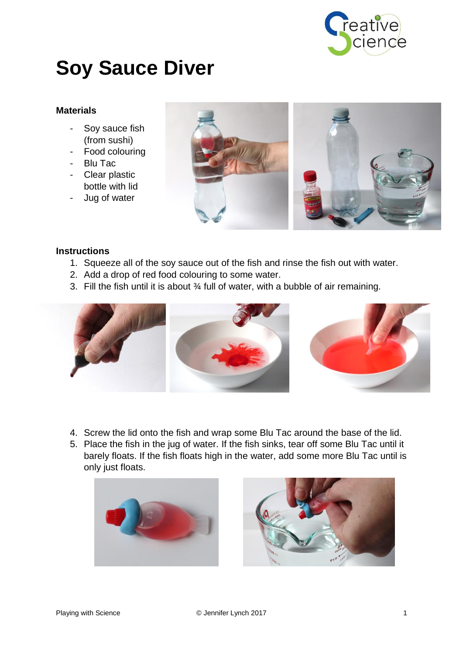

## **Soy Sauce Diver**

## **Materials**

- Soy sauce fish (from sushi)
- Food colouring
- Blu Tac
- Clear plastic bottle with lid
- Jug of water





## **Instructions**

- 1. Squeeze all of the soy sauce out of the fish and rinse the fish out with water.
- 2. Add a drop of red food colouring to some water.
- 3. Fill the fish until it is about ¾ full of water, with a bubble of air remaining.



- 4. Screw the lid onto the fish and wrap some Blu Tac around the base of the lid.
- 5. Place the fish in the jug of water. If the fish sinks, tear off some Blu Tac until it barely floats. If the fish floats high in the water, add some more Blu Tac until is only just floats.